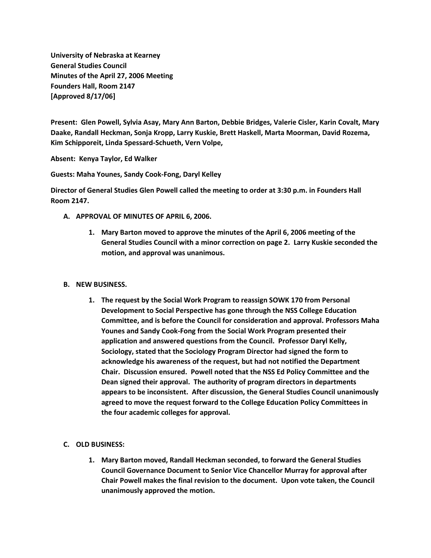**University of Nebraska at Kearney General Studies Council Minutes of the April 27, 2006 Meeting Founders Hall, Room 2147 [Approved 8/17/06]**

**Present: Glen Powell, Sylvia Asay, Mary Ann Barton, Debbie Bridges, Valerie Cisler, Karin Covalt, Mary Daake, Randall Heckman, Sonja Kropp, Larry Kuskie, Brett Haskell, Marta Moorman, David Rozema, Kim Schipporeit, Linda Spessard-Schueth, Vern Volpe,**

**Absent: Kenya Taylor, Ed Walker**

**Guests: Maha Younes, Sandy Cook-Fong, Daryl Kelley**

**Director of General Studies Glen Powell called the meeting to order at 3:30 p.m. in Founders Hall Room 2147.**

- **A. APPROVAL OF MINUTES OF APRIL 6, 2006.**
	- **1. Mary Barton moved to approve the minutes of the April 6, 2006 meeting of the General Studies Council with a minor correction on page 2. Larry Kuskie seconded the motion, and approval was unanimous.**

## **B. NEW BUSINESS.**

**1. The request by the Social Work Program to reassign SOWK 170 from Personal Development to Social Perspective has gone through the NSS College Education Committee, and is before the Council for consideration and approval. Professors Maha Younes and Sandy Cook-Fong from the Social Work Program presented their application and answered questions from the Council. Professor Daryl Kelly, Sociology, stated that the Sociology Program Director had signed the form to acknowledge his awareness of the request, but had not notified the Department Chair. Discussion ensured. Powell noted that the NSS Ed Policy Committee and the Dean signed their approval. The authority of program directors in departments appears to be inconsistent. After discussion, the General Studies Council unanimously agreed to move the request forward to the College Education Policy Committees in the four academic colleges for approval.**

## **C. OLD BUSINESS:**

**1. Mary Barton moved, Randall Heckman seconded, to forward the General Studies Council Governance Document to Senior Vice Chancellor Murray for approval after Chair Powell makes the final revision to the document. Upon vote taken, the Council unanimously approved the motion.**